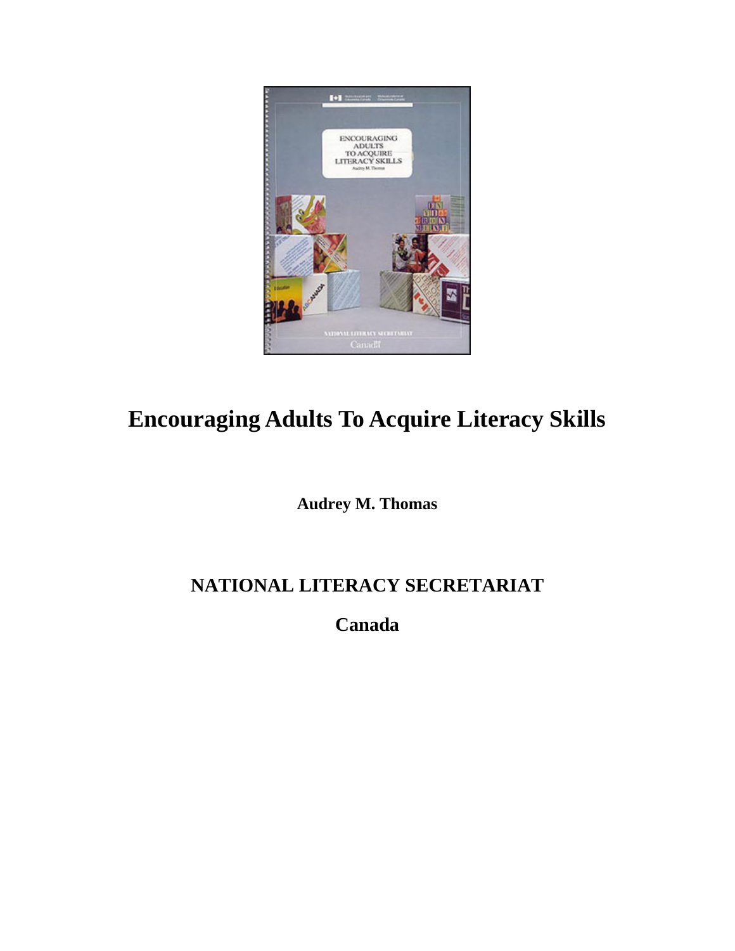

# **Encouraging Adults To Acquire Literacy Skills**

**Audrey M. Thomas** 

# **NATIONAL LITERACY SECRETARIAT**

**Canada**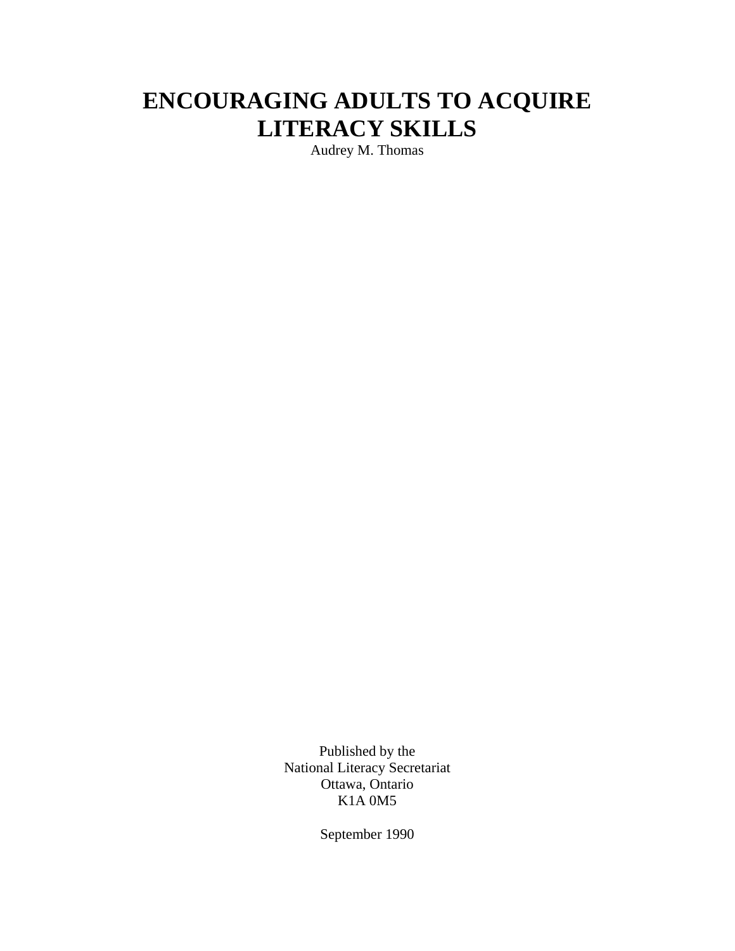# **ENCOURAGING ADULTS TO ACQUIRE LITERACY SKILLS**

Audrey M. Thomas

Published by the National Literacy Secretariat Ottawa, Ontario K1A 0M5

September 1990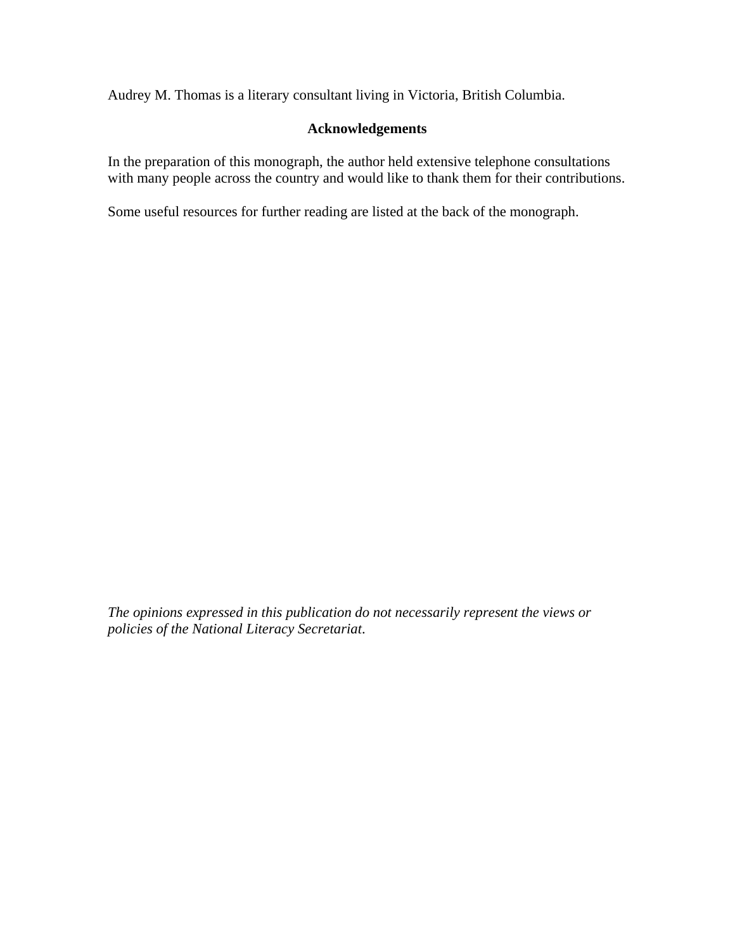Audrey M. Thomas is a literary consultant living in Victoria, British Columbia.

### **Acknowledgements**

In the preparation of this monograph, the author held extensive telephone consultations with many people across the country and would like to thank them for their contributions.

Some useful resources for further reading are listed at the back of the monograph.

*The opinions expressed in this publication do not necessarily represent the views or policies of the National Literacy Secretariat*.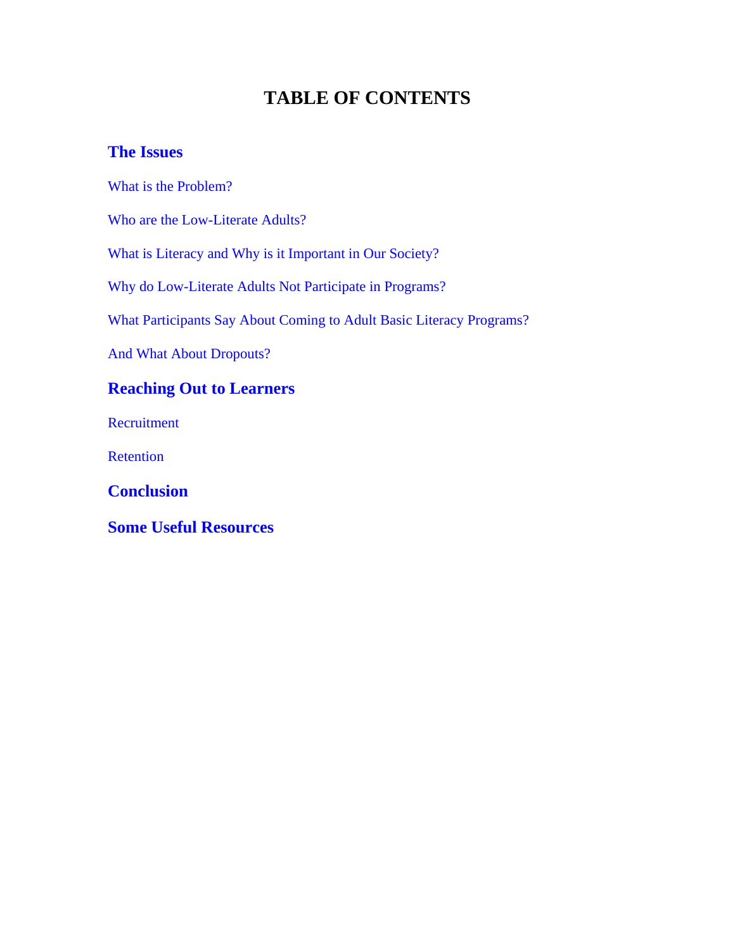# **TABLE OF CONTENTS**

### **[The Issues](#page-4-0)**

[What is the Problem?](#page-4-0) 

[Who are the Low-Literate Adults?](#page-5-0) 

[What is Literacy and Why is it Important in Our Society?](#page-5-0)

[Why do Low-Literate Adults Not Participate in Programs?](#page-7-0) 

[What Participants Say About Coming to Adult Basic Literacy Programs?](#page-10-0) 

[And What About Dropouts?](#page-12-0)

## **[Reaching Out to Learners](#page-14-0)**

[Recruitment](#page-14-0) 

[Retention](#page-21-0) 

**[Conclusion](#page-23-0)** 

**[Some Useful Resources](#page-24-0)**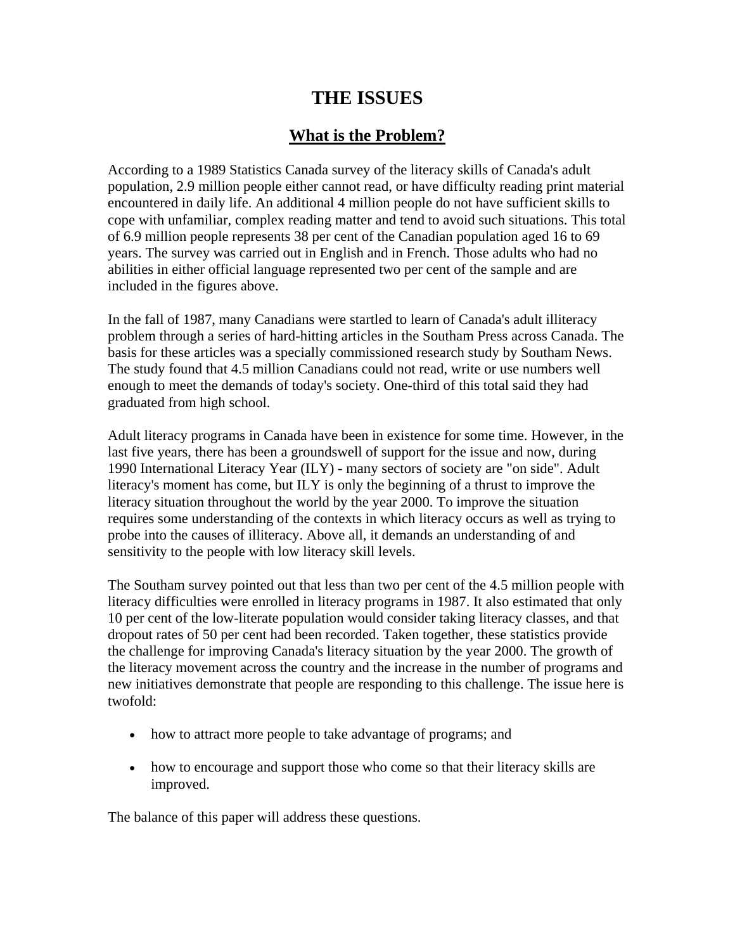# **THE ISSUES**

### **What is the Problem?**

<span id="page-4-0"></span>According to a 1989 Statistics Canada survey of the literacy skills of Canada's adult population, 2.9 million people either cannot read, or have difficulty reading print material encountered in daily life. An additional 4 million people do not have sufficient skills to cope with unfamiliar, complex reading matter and tend to avoid such situations. This total of 6.9 million people represents 38 per cent of the Canadian population aged 16 to 69 years. The survey was carried out in English and in French. Those adults who had no abilities in either official language represented two per cent of the sample and are included in the figures above.

In the fall of 1987, many Canadians were startled to learn of Canada's adult illiteracy problem through a series of hard-hitting articles in the Southam Press across Canada. The basis for these articles was a specially commissioned research study by Southam News. The study found that 4.5 million Canadians could not read, write or use numbers well enough to meet the demands of today's society. One-third of this total said they had graduated from high school.

Adult literacy programs in Canada have been in existence for some time. However, in the last five years, there has been a groundswell of support for the issue and now, during 1990 International Literacy Year (ILY) - many sectors of society are "on side". Adult literacy's moment has come, but ILY is only the beginning of a thrust to improve the literacy situation throughout the world by the year 2000. To improve the situation requires some understanding of the contexts in which literacy occurs as well as trying to probe into the causes of illiteracy. Above all, it demands an understanding of and sensitivity to the people with low literacy skill levels.

The Southam survey pointed out that less than two per cent of the 4.5 million people with literacy difficulties were enrolled in literacy programs in 1987. It also estimated that only 10 per cent of the low-literate population would consider taking literacy classes, and that dropout rates of 50 per cent had been recorded. Taken together, these statistics provide the challenge for improving Canada's literacy situation by the year 2000. The growth of the literacy movement across the country and the increase in the number of programs and new initiatives demonstrate that people are responding to this challenge. The issue here is twofold:

- how to attract more people to take advantage of programs; and
- how to encourage and support those who come so that their literacy skills are improved.

The balance of this paper will address these questions.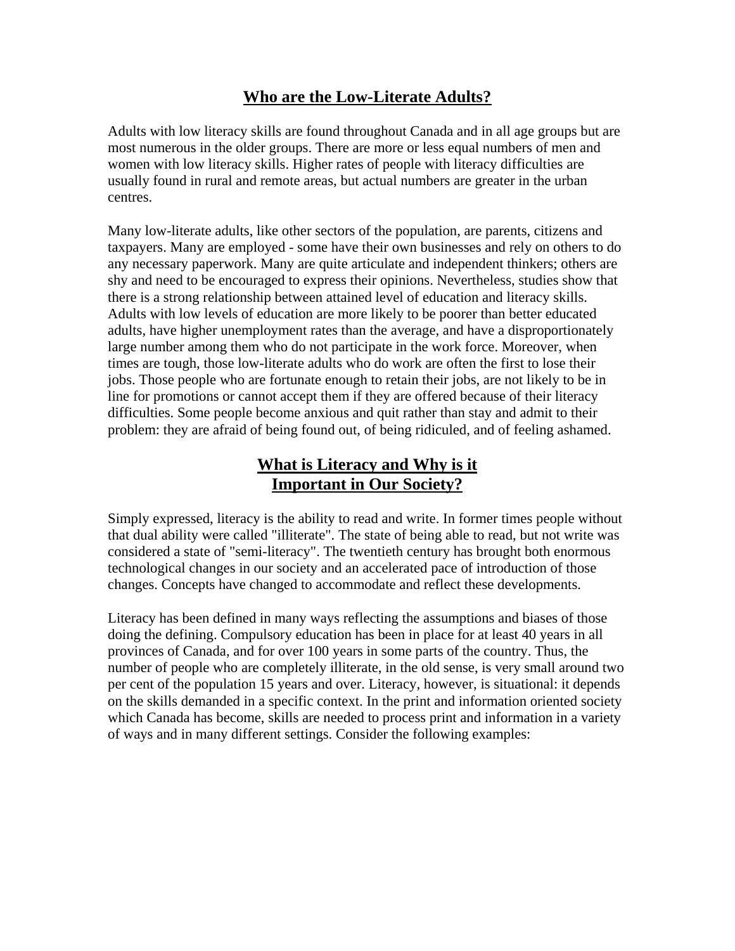## **Who are the Low-Literate Adults?**

<span id="page-5-0"></span>Adults with low literacy skills are found throughout Canada and in all age groups but are most numerous in the older groups. There are more or less equal numbers of men and women with low literacy skills. Higher rates of people with literacy difficulties are usually found in rural and remote areas, but actual numbers are greater in the urban centres.

Many low-literate adults, like other sectors of the population, are parents, citizens and taxpayers. Many are employed - some have their own businesses and rely on others to do any necessary paperwork. Many are quite articulate and independent thinkers; others are shy and need to be encouraged to express their opinions. Nevertheless, studies show that there is a strong relationship between attained level of education and literacy skills. Adults with low levels of education are more likely to be poorer than better educated adults, have higher unemployment rates than the average, and have a disproportionately large number among them who do not participate in the work force. Moreover, when times are tough, those low-literate adults who do work are often the first to lose their jobs. Those people who are fortunate enough to retain their jobs, are not likely to be in line for promotions or cannot accept them if they are offered because of their literacy difficulties. Some people become anxious and quit rather than stay and admit to their problem: they are afraid of being found out, of being ridiculed, and of feeling ashamed.

## **What is Literacy and Why is it Important in Our Society?**

Simply expressed, literacy is the ability to read and write. In former times people without that dual ability were called "illiterate". The state of being able to read, but not write was considered a state of "semi-literacy". The twentieth century has brought both enormous technological changes in our society and an accelerated pace of introduction of those changes. Concepts have changed to accommodate and reflect these developments.

Literacy has been defined in many ways reflecting the assumptions and biases of those doing the defining. Compulsory education has been in place for at least 40 years in all provinces of Canada, and for over 100 years in some parts of the country. Thus, the number of people who are completely illiterate, in the old sense, is very small around two per cent of the population 15 years and over. Literacy, however, is situational: it depends on the skills demanded in a specific context. In the print and information oriented society which Canada has become, skills are needed to process print and information in a variety of ways and in many different settings. Consider the following examples: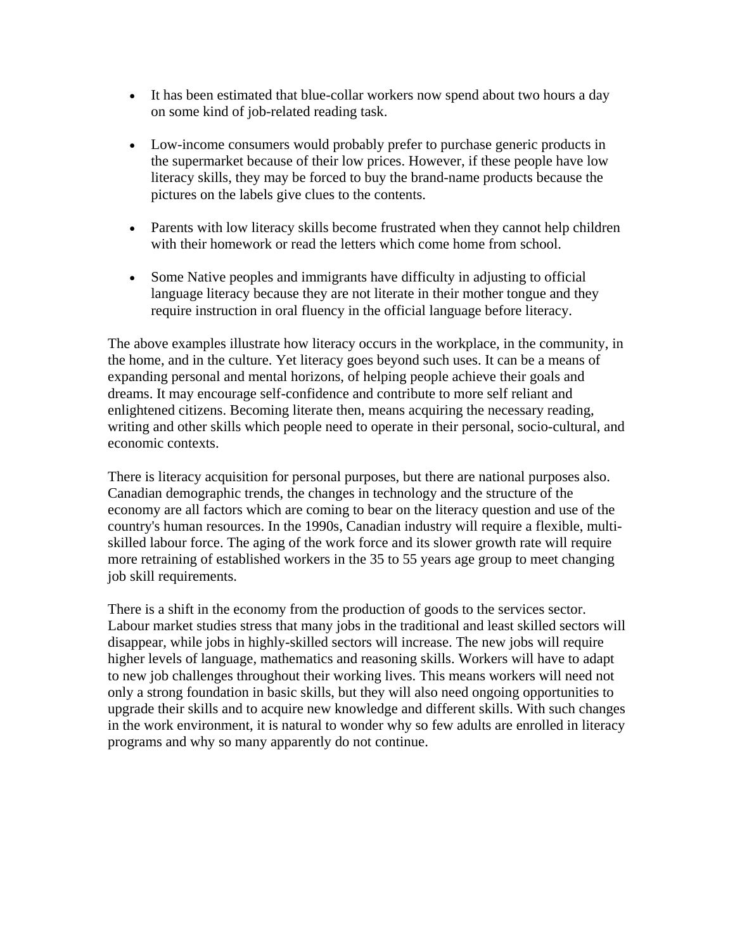- It has been estimated that blue-collar workers now spend about two hours a day on some kind of job-related reading task.
- Low-income consumers would probably prefer to purchase generic products in the supermarket because of their low prices. However, if these people have low literacy skills, they may be forced to buy the brand-name products because the pictures on the labels give clues to the contents.
- Parents with low literacy skills become frustrated when they cannot help children with their homework or read the letters which come home from school.
- Some Native peoples and immigrants have difficulty in adjusting to official language literacy because they are not literate in their mother tongue and they require instruction in oral fluency in the official language before literacy.

The above examples illustrate how literacy occurs in the workplace, in the community, in the home, and in the culture. Yet literacy goes beyond such uses. It can be a means of expanding personal and mental horizons, of helping people achieve their goals and dreams. It may encourage self-confidence and contribute to more self reliant and enlightened citizens. Becoming literate then, means acquiring the necessary reading, writing and other skills which people need to operate in their personal, socio-cultural, and economic contexts.

There is literacy acquisition for personal purposes, but there are national purposes also. Canadian demographic trends, the changes in technology and the structure of the economy are all factors which are coming to bear on the literacy question and use of the country's human resources. In the 1990s, Canadian industry will require a flexible, multiskilled labour force. The aging of the work force and its slower growth rate will require more retraining of established workers in the 35 to 55 years age group to meet changing job skill requirements.

There is a shift in the economy from the production of goods to the services sector. Labour market studies stress that many jobs in the traditional and least skilled sectors will disappear, while jobs in highly-skilled sectors will increase. The new jobs will require higher levels of language, mathematics and reasoning skills. Workers will have to adapt to new job challenges throughout their working lives. This means workers will need not only a strong foundation in basic skills, but they will also need ongoing opportunities to upgrade their skills and to acquire new knowledge and different skills. With such changes in the work environment, it is natural to wonder why so few adults are enrolled in literacy programs and why so many apparently do not continue.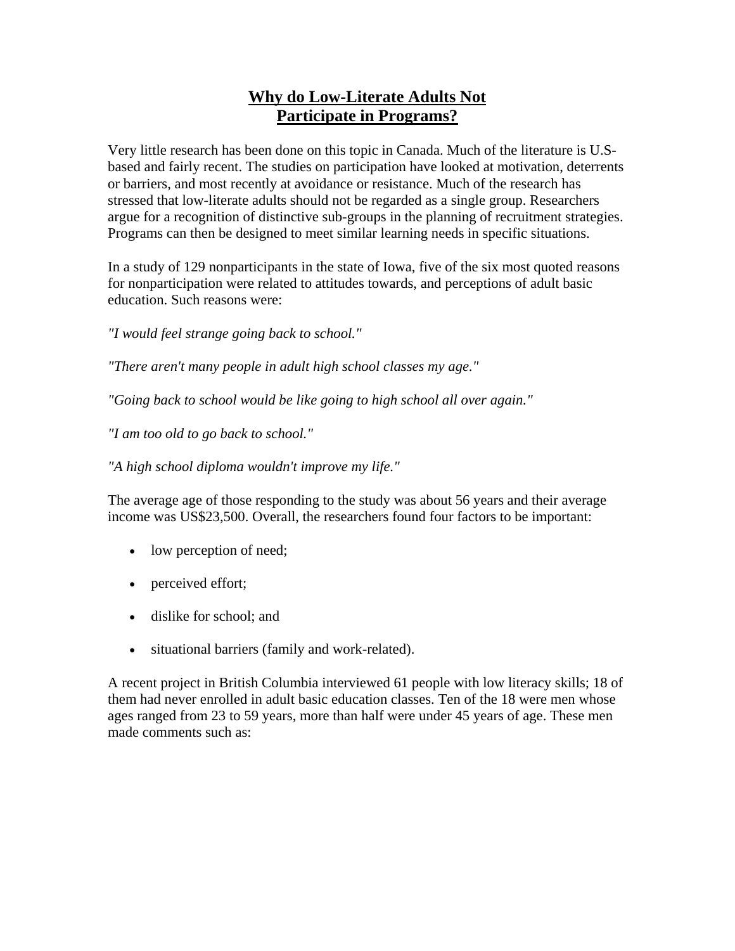## **Why do Low-Literate Adults Not Participate in Programs?**

<span id="page-7-0"></span>Very little research has been done on this topic in Canada. Much of the literature is U.Sbased and fairly recent. The studies on participation have looked at motivation, deterrents or barriers, and most recently at avoidance or resistance. Much of the research has stressed that low-literate adults should not be regarded as a single group. Researchers argue for a recognition of distinctive sub-groups in the planning of recruitment strategies. Programs can then be designed to meet similar learning needs in specific situations.

In a study of 129 nonparticipants in the state of Iowa, five of the six most quoted reasons for nonparticipation were related to attitudes towards, and perceptions of adult basic education. Such reasons were:

*"I would feel strange going back to school."*

*"There aren't many people in adult high school classes my age."*

*"Going back to school would be like going to high school all over again."*

*"I am too old to go back to school."*

*"A high school diploma wouldn't improve my life."*

The average age of those responding to the study was about 56 years and their average income was US\$23,500. Overall, the researchers found four factors to be important:

- low perception of need;
- perceived effort;
- dislike for school; and
- situational barriers (family and work-related).

A recent project in British Columbia interviewed 61 people with low literacy skills; 18 of them had never enrolled in adult basic education classes. Ten of the 18 were men whose ages ranged from 23 to 59 years, more than half were under 45 years of age. These men made comments such as: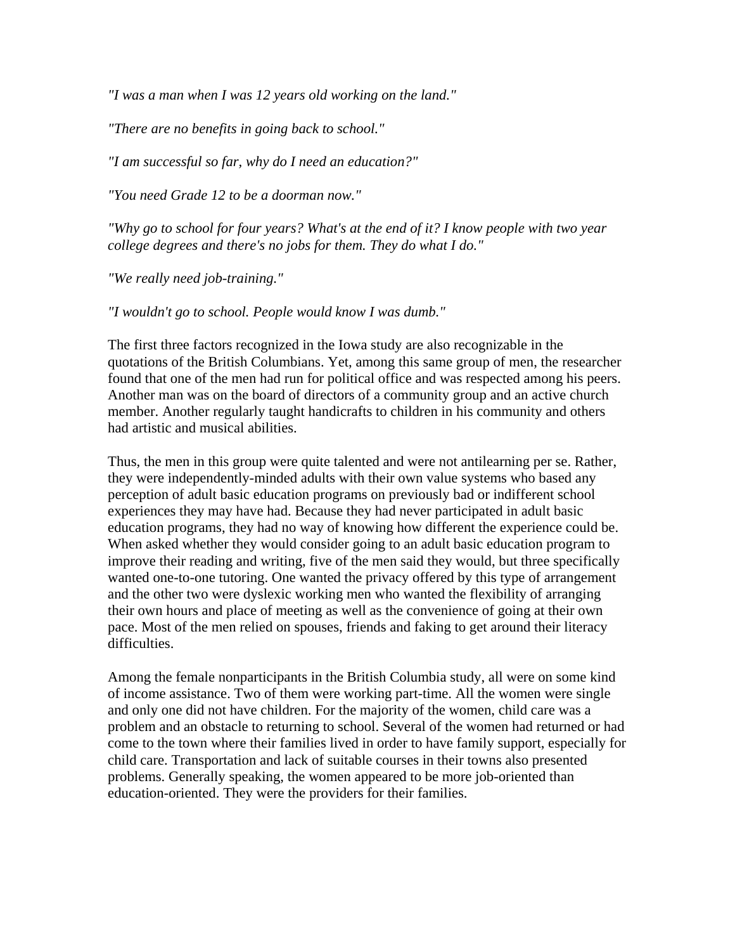*"I was a man when I was 12 years old working on the land."* 

*"There are no benefits in going back to school."* 

*"I am successful so far, why do I need an education?"* 

*"You need Grade 12 to be a doorman now."* 

*"Why go to school for four years? What's at the end of it? I know people with two year college degrees and there's no jobs for them. They do what I do."* 

*"We really need job-training."* 

*"I wouldn't go to school. People would know I was dumb."* 

The first three factors recognized in the Iowa study are also recognizable in the quotations of the British Columbians. Yet, among this same group of men, the researcher found that one of the men had run for political office and was respected among his peers. Another man was on the board of directors of a community group and an active church member. Another regularly taught handicrafts to children in his community and others had artistic and musical abilities.

Thus, the men in this group were quite talented and were not antilearning per se. Rather, they were independently-minded adults with their own value systems who based any perception of adult basic education programs on previously bad or indifferent school experiences they may have had. Because they had never participated in adult basic education programs, they had no way of knowing how different the experience could be. When asked whether they would consider going to an adult basic education program to improve their reading and writing, five of the men said they would, but three specifically wanted one-to-one tutoring. One wanted the privacy offered by this type of arrangement and the other two were dyslexic working men who wanted the flexibility of arranging their own hours and place of meeting as well as the convenience of going at their own pace. Most of the men relied on spouses, friends and faking to get around their literacy difficulties.

Among the female nonparticipants in the British Columbia study, all were on some kind of income assistance. Two of them were working part-time. All the women were single and only one did not have children. For the majority of the women, child care was a problem and an obstacle to returning to school. Several of the women had returned or had come to the town where their families lived in order to have family support, especially for child care. Transportation and lack of suitable courses in their towns also presented problems. Generally speaking, the women appeared to be more job-oriented than education-oriented. They were the providers for their families.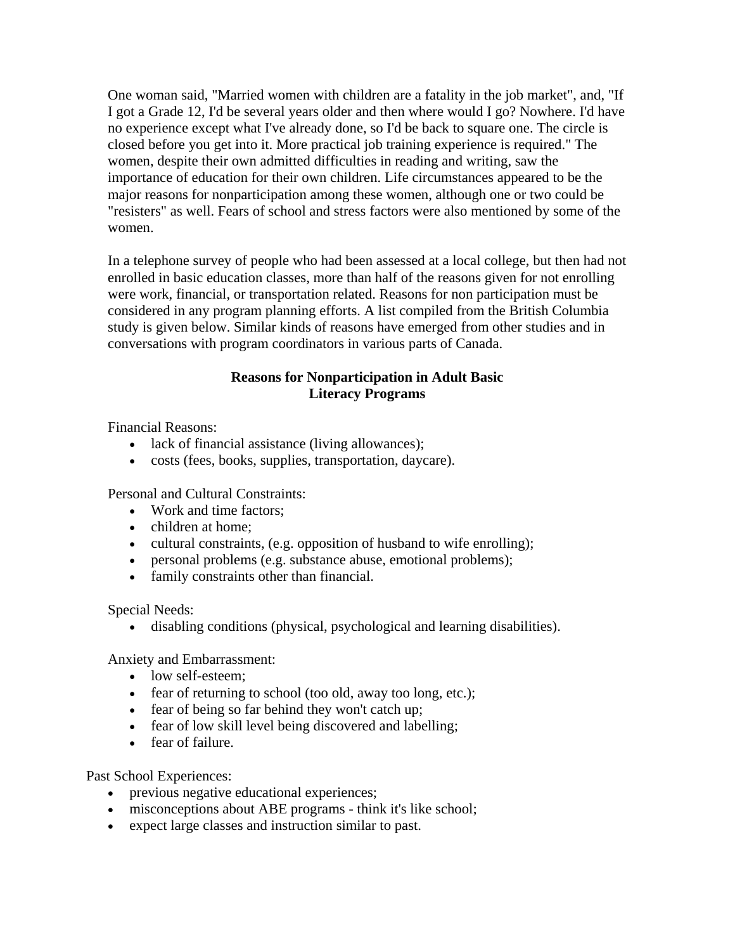One woman said, "Married women with children are a fatality in the job market", and, "If I got a Grade 12, I'd be several years older and then where would I go? Nowhere. I'd have no experience except what I've already done, so I'd be back to square one. The circle is closed before you get into it. More practical job training experience is required." The women, despite their own admitted difficulties in reading and writing, saw the importance of education for their own children. Life circumstances appeared to be the major reasons for nonparticipation among these women, although one or two could be "resisters" as well. Fears of school and stress factors were also mentioned by some of the women.

In a telephone survey of people who had been assessed at a local college, but then had not enrolled in basic education classes, more than half of the reasons given for not enrolling were work, financial, or transportation related. Reasons for non participation must be considered in any program planning efforts. A list compiled from the British Columbia study is given below. Similar kinds of reasons have emerged from other studies and in conversations with program coordinators in various parts of Canada.

### **Reasons for Nonparticipation in Adult Basic Literacy Programs**

Financial Reasons:

- lack of financial assistance (living allowances);
- costs (fees, books, supplies, transportation, daycare).

Personal and Cultural Constraints:

- Work and time factors:
- children at home:
- cultural constraints, (e.g. opposition of husband to wife enrolling);
- personal problems (e.g. substance abuse, emotional problems);
- family constraints other than financial.

Special Needs:

• disabling conditions (physical, psychological and learning disabilities).

Anxiety and Embarrassment:

- low self-esteem:
- fear of returning to school (too old, away too long, etc.);
- fear of being so far behind they won't catch up;
- fear of low skill level being discovered and labelling;
- fear of failure.

Past School Experiences:

- previous negative educational experiences;
- misconceptions about ABE programs think it's like school;
- expect large classes and instruction similar to past.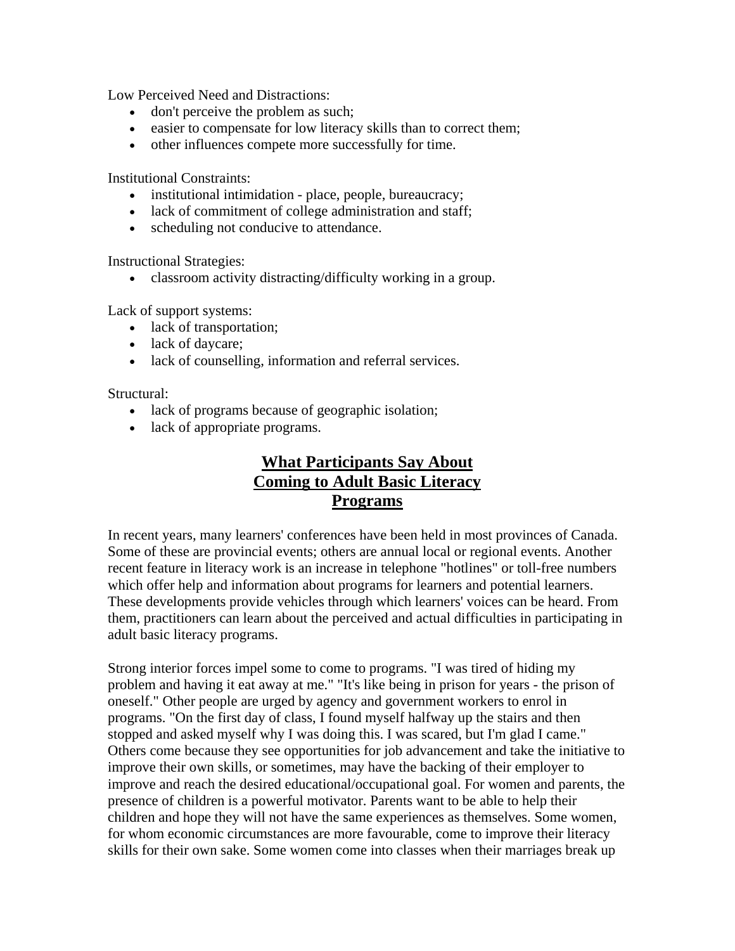<span id="page-10-0"></span>Low Perceived Need and Distractions:

- don't perceive the problem as such;
- easier to compensate for low literacy skills than to correct them;
- other influences compete more successfully for time.

Institutional Constraints:

- institutional intimidation place, people, bureaucracy;
- lack of commitment of college administration and staff;
- scheduling not conducive to attendance.

Instructional Strategies:

• classroom activity distracting/difficulty working in a group.

Lack of support systems:

- lack of transportation;
- lack of daycare;
- lack of counselling, information and referral services.

Structural:

- lack of programs because of geographic isolation;
- lack of appropriate programs.

# **What Participants Say About Coming to Adult Basic Literacy Programs**

In recent years, many learners' conferences have been held in most provinces of Canada. Some of these are provincial events; others are annual local or regional events. Another recent feature in literacy work is an increase in telephone "hotlines" or toll-free numbers which offer help and information about programs for learners and potential learners. These developments provide vehicles through which learners' voices can be heard. From them, practitioners can learn about the perceived and actual difficulties in participating in adult basic literacy programs.

Strong interior forces impel some to come to programs. "I was tired of hiding my problem and having it eat away at me." "It's like being in prison for years - the prison of oneself." Other people are urged by agency and government workers to enrol in programs. "On the first day of class, I found myself halfway up the stairs and then stopped and asked myself why I was doing this. I was scared, but I'm glad I came." Others come because they see opportunities for job advancement and take the initiative to improve their own skills, or sometimes, may have the backing of their employer to improve and reach the desired educational/occupational goal. For women and parents, the presence of children is a powerful motivator. Parents want to be able to help their children and hope they will not have the same experiences as themselves. Some women, for whom economic circumstances are more favourable, come to improve their literacy skills for their own sake. Some women come into classes when their marriages break up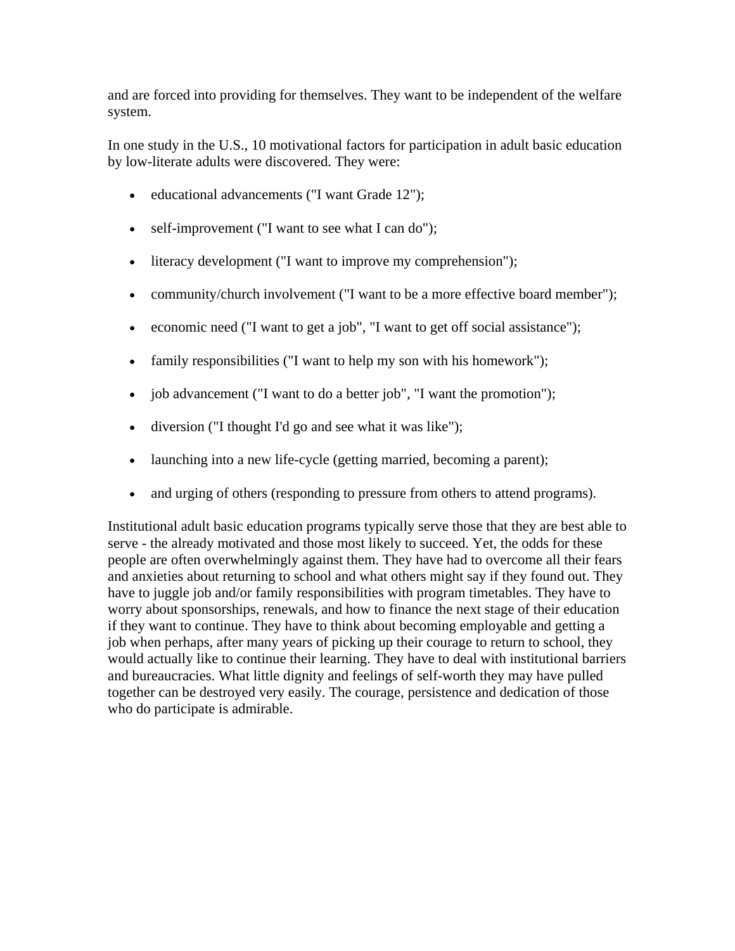and are forced into providing for themselves. They want to be independent of the welfare system.

In one study in the U.S., 10 motivational factors for participation in adult basic education by low-literate adults were discovered. They were:

- educational advancements ("I want Grade 12");
- self-improvement ("I want to see what I can do");
- literacy development ("I want to improve my comprehension");
- community/church involvement ("I want to be a more effective board member");
- economic need ("I want to get a job", "I want to get off social assistance");
- family responsibilities ("I want to help my son with his homework");
- job advancement ("I want to do a better job", "I want the promotion");
- diversion ("I thought I'd go and see what it was like");
- launching into a new life-cycle (getting married, becoming a parent);
- and urging of others (responding to pressure from others to attend programs).

Institutional adult basic education programs typically serve those that they are best able to serve - the already motivated and those most likely to succeed. Yet, the odds for these people are often overwhelmingly against them. They have had to overcome all their fears and anxieties about returning to school and what others might say if they found out. They have to juggle job and/or family responsibilities with program timetables. They have to worry about sponsorships, renewals, and how to finance the next stage of their education if they want to continue. They have to think about becoming employable and getting a job when perhaps, after many years of picking up their courage to return to school, they would actually like to continue their learning. They have to deal with institutional barriers and bureaucracies. What little dignity and feelings of self-worth they may have pulled together can be destroyed very easily. The courage, persistence and dedication of those who do participate is admirable.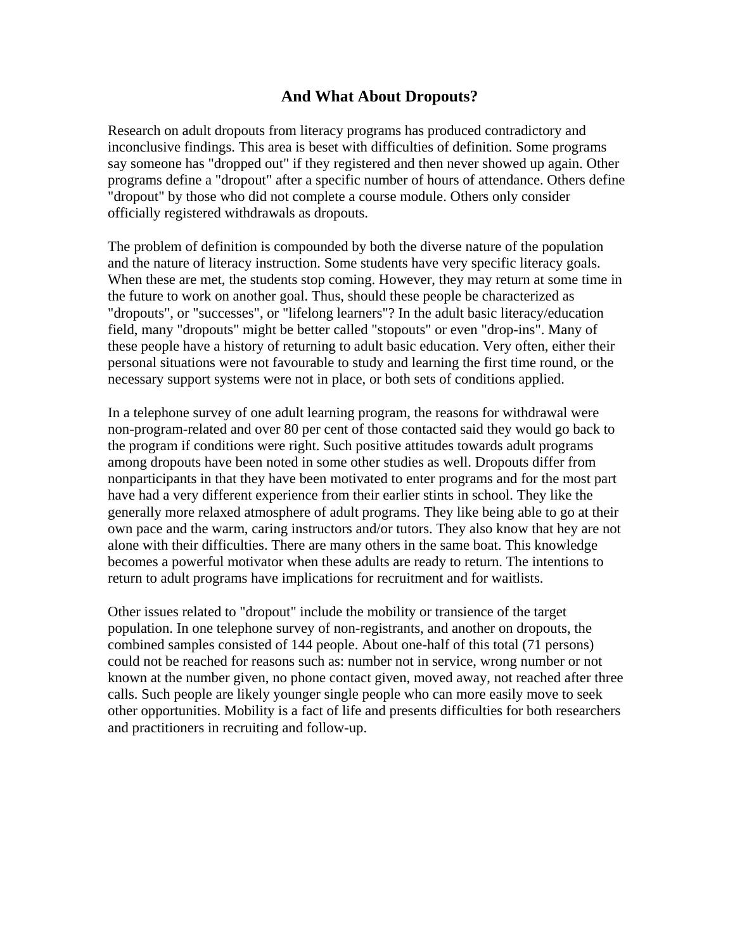### **And What About Dropouts?**

<span id="page-12-0"></span>Research on adult dropouts from literacy programs has produced contradictory and inconclusive findings. This area is beset with difficulties of definition. Some programs say someone has "dropped out" if they registered and then never showed up again. Other programs define a "dropout" after a specific number of hours of attendance. Others define "dropout" by those who did not complete a course module. Others only consider officially registered withdrawals as dropouts.

The problem of definition is compounded by both the diverse nature of the population and the nature of literacy instruction. Some students have very specific literacy goals. When these are met, the students stop coming. However, they may return at some time in the future to work on another goal. Thus, should these people be characterized as "dropouts", or "successes", or "lifelong learners"? In the adult basic literacy/education field, many "dropouts" might be better called "stopouts" or even "drop-ins". Many of these people have a history of returning to adult basic education. Very often, either their personal situations were not favourable to study and learning the first time round, or the necessary support systems were not in place, or both sets of conditions applied.

In a telephone survey of one adult learning program, the reasons for withdrawal were non-program-related and over 80 per cent of those contacted said they would go back to the program if conditions were right. Such positive attitudes towards adult programs among dropouts have been noted in some other studies as well. Dropouts differ from nonparticipants in that they have been motivated to enter programs and for the most part have had a very different experience from their earlier stints in school. They like the generally more relaxed atmosphere of adult programs. They like being able to go at their own pace and the warm, caring instructors and/or tutors. They also know that hey are not alone with their difficulties. There are many others in the same boat. This knowledge becomes a powerful motivator when these adults are ready to return. The intentions to return to adult programs have implications for recruitment and for waitlists.

Other issues related to "dropout" include the mobility or transience of the target population. In one telephone survey of non-registrants, and another on dropouts, the combined samples consisted of 144 people. About one-half of this total (71 persons) could not be reached for reasons such as: number not in service, wrong number or not known at the number given, no phone contact given, moved away, not reached after three calls. Such people are likely younger single people who can more easily move to seek other opportunities. Mobility is a fact of life and presents difficulties for both researchers and practitioners in recruiting and follow-up.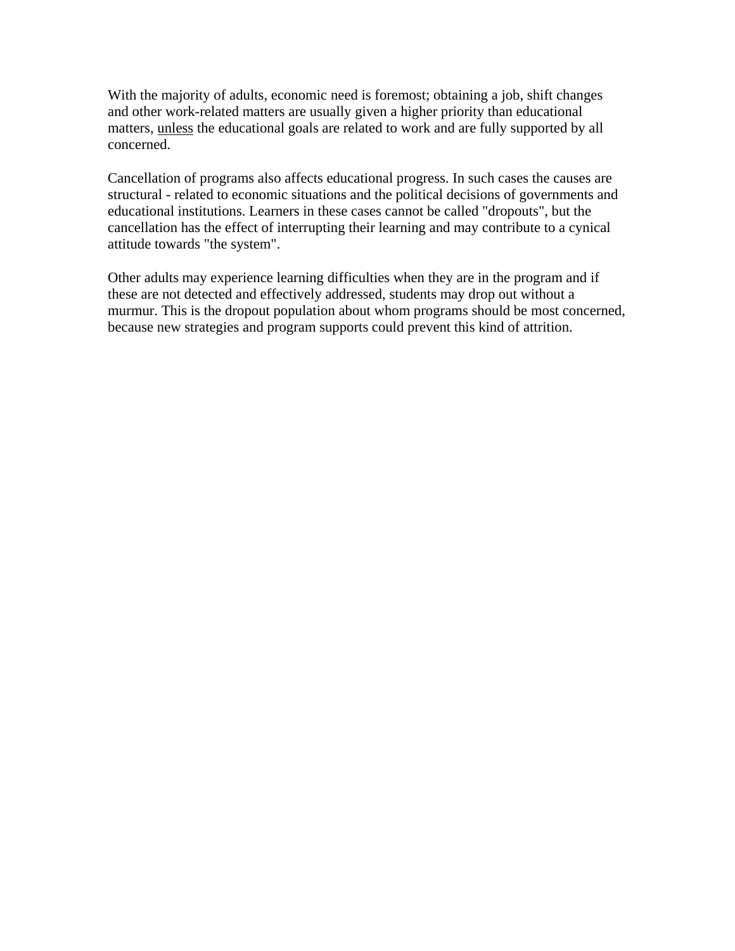With the majority of adults, economic need is foremost; obtaining a job, shift changes and other work-related matters are usually given a higher priority than educational matters, unless the educational goals are related to work and are fully supported by all concerned.

Cancellation of programs also affects educational progress. In such cases the causes are structural - related to economic situations and the political decisions of governments and educational institutions. Learners in these cases cannot be called "dropouts", but the cancellation has the effect of interrupting their learning and may contribute to a cynical attitude towards "the system".

Other adults may experience learning difficulties when they are in the program and if these are not detected and effectively addressed, students may drop out without a murmur. This is the dropout population about whom programs should be most concerned, because new strategies and program supports could prevent this kind of attrition.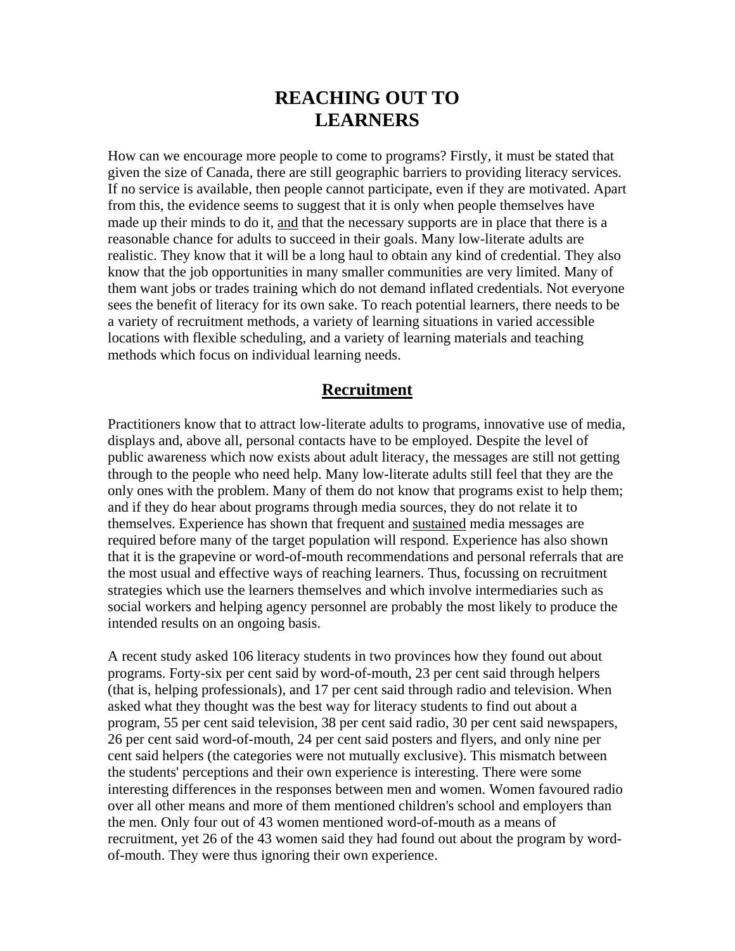# **REACHING OUT TO LEARNERS**

<span id="page-14-0"></span>How can we encourage more people to come to programs? Firstly, it must be stated that given the size of Canada, there are still geographic barriers to providing literacy services. If no service is available, then people cannot participate, even if they are motivated. Apart from this, the evidence seems to suggest that it is only when people themselves have made up their minds to do it, and that the necessary supports are in place that there is a reasonable chance for adults to succeed in their goals. Many low-literate adults are realistic. They know that it will be a long haul to obtain any kind of credential. They also know that the job opportunities in many smaller communities are very limited. Many of them want jobs or trades training which do not demand inflated credentials. Not everyone sees the benefit of literacy for its own sake. To reach potential learners, there needs to be a variety of recruitment methods, a variety of learning situations in varied accessible locations with flexible scheduling, and a variety of learning materials and teaching methods which focus on individual learning needs.

### **Recruitment**

Practitioners know that to attract low-literate adults to programs, innovative use of media, displays and, above all, personal contacts have to be employed. Despite the level of public awareness which now exists about adult literacy, the messages are still not getting through to the people who need help. Many low-literate adults still feel that they are the only ones with the problem. Many of them do not know that programs exist to help them; and if they do hear about programs through media sources, they do not relate it to themselves. Experience has shown that frequent and sustained media messages are required before many of the target population will respond. Experience has also shown that it is the grapevine or word-of-mouth recommendations and personal referrals that are the most usual and effective ways of reaching learners. Thus, focussing on recruitment strategies which use the learners themselves and which involve intermediaries such as social workers and helping agency personnel are probably the most likely to produce the intended results on an ongoing basis.

A recent study asked 106 literacy students in two provinces how they found out about programs. Forty-six per cent said by word-of-mouth, 23 per cent said through helpers (that is, helping professionals), and 17 per cent said through radio and television. When asked what they thought was the best way for literacy students to find out about a program, 55 per cent said television, 38 per cent said radio, 30 per cent said newspapers, 26 per cent said word-of-mouth, 24 per cent said posters and flyers, and only nine per cent said helpers (the categories were not mutually exclusive). This mismatch between the students' perceptions and their own experience is interesting. There were some interesting differences in the responses between men and women. Women favoured radio over all other means and more of them mentioned children's school and employers than the men. Only four out of 43 women mentioned word-of-mouth as a means of recruitment, yet 26 of the 43 women said they had found out about the program by wordof-mouth. They were thus ignoring their own experience.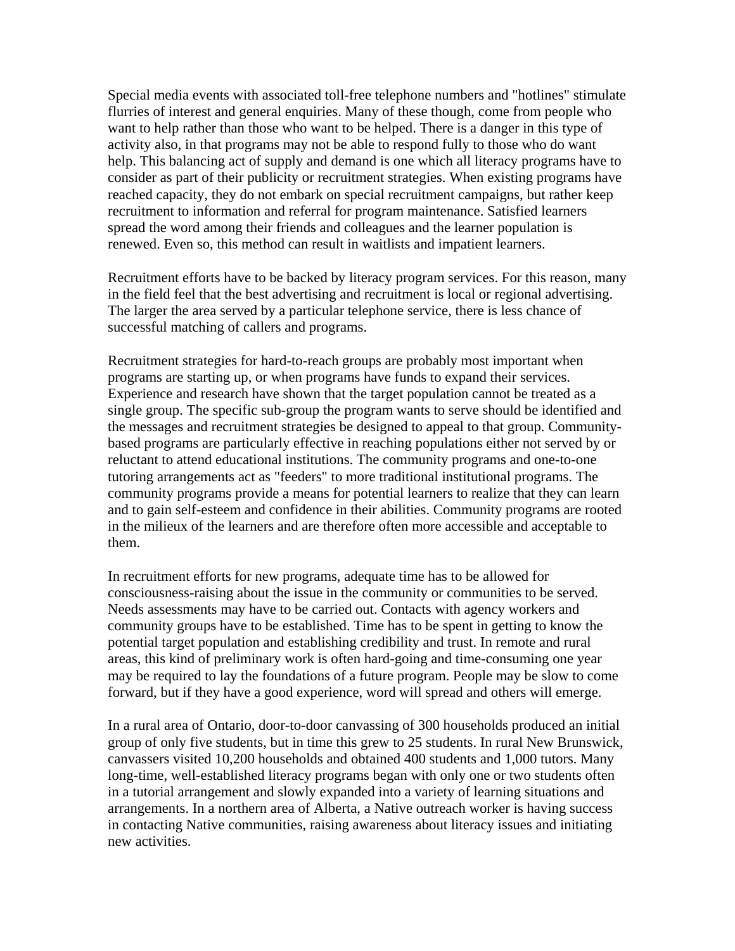Special media events with associated toll-free telephone numbers and "hotlines" stimulate flurries of interest and general enquiries. Many of these though, come from people who want to help rather than those who want to be helped. There is a danger in this type of activity also, in that programs may not be able to respond fully to those who do want help. This balancing act of supply and demand is one which all literacy programs have to consider as part of their publicity or recruitment strategies. When existing programs have reached capacity, they do not embark on special recruitment campaigns, but rather keep recruitment to information and referral for program maintenance. Satisfied learners spread the word among their friends and colleagues and the learner population is renewed. Even so, this method can result in waitlists and impatient learners.

Recruitment efforts have to be backed by literacy program services. For this reason, many in the field feel that the best advertising and recruitment is local or regional advertising. The larger the area served by a particular telephone service, there is less chance of successful matching of callers and programs.

Recruitment strategies for hard-to-reach groups are probably most important when programs are starting up, or when programs have funds to expand their services. Experience and research have shown that the target population cannot be treated as a single group. The specific sub-group the program wants to serve should be identified and the messages and recruitment strategies be designed to appeal to that group. Communitybased programs are particularly effective in reaching populations either not served by or reluctant to attend educational institutions. The community programs and one-to-one tutoring arrangements act as "feeders" to more traditional institutional programs. The community programs provide a means for potential learners to realize that they can learn and to gain self-esteem and confidence in their abilities. Community programs are rooted in the milieux of the learners and are therefore often more accessible and acceptable to them.

In recruitment efforts for new programs, adequate time has to be allowed for consciousness-raising about the issue in the community or communities to be served. Needs assessments may have to be carried out. Contacts with agency workers and community groups have to be established. Time has to be spent in getting to know the potential target population and establishing credibility and trust. In remote and rural areas, this kind of preliminary work is often hard-going and time-consuming one year may be required to lay the foundations of a future program. People may be slow to come forward, but if they have a good experience, word will spread and others will emerge.

In a rural area of Ontario, door-to-door canvassing of 300 households produced an initial group of only five students, but in time this grew to 25 students. In rural New Brunswick, canvassers visited 10,200 households and obtained 400 students and 1,000 tutors. Many long-time, well-established literacy programs began with only one or two students often in a tutorial arrangement and slowly expanded into a variety of learning situations and arrangements. In a northern area of Alberta, a Native outreach worker is having success in contacting Native communities, raising awareness about literacy issues and initiating new activities.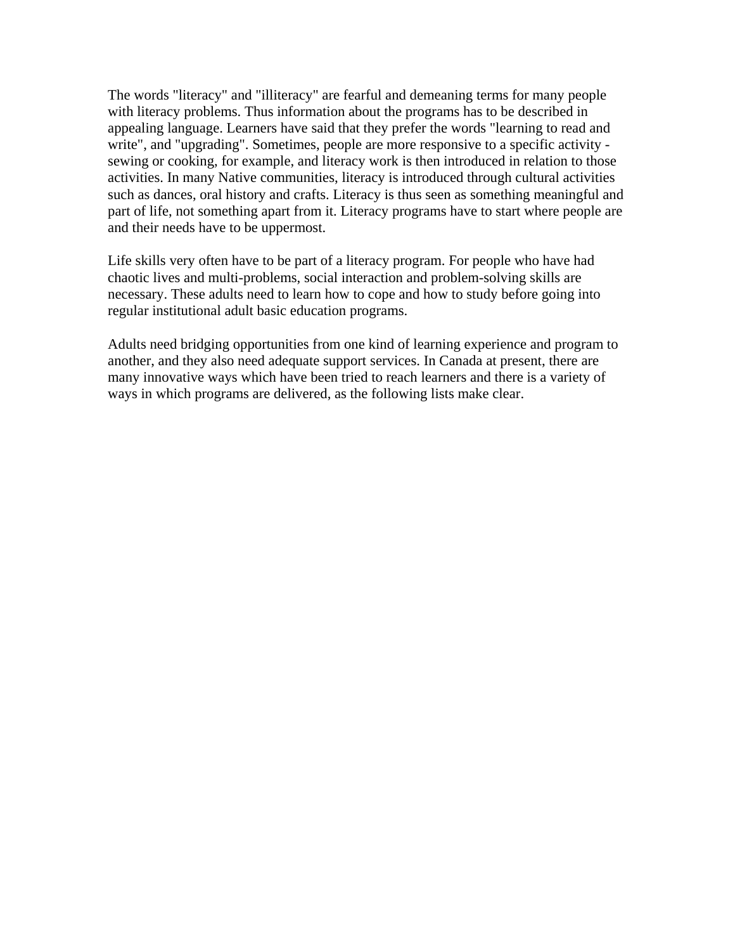The words "literacy" and "illiteracy" are fearful and demeaning terms for many people with literacy problems. Thus information about the programs has to be described in appealing language. Learners have said that they prefer the words "learning to read and write", and "upgrading". Sometimes, people are more responsive to a specific activity sewing or cooking, for example, and literacy work is then introduced in relation to those activities. In many Native communities, literacy is introduced through cultural activities such as dances, oral history and crafts. Literacy is thus seen as something meaningful and part of life, not something apart from it. Literacy programs have to start where people are and their needs have to be uppermost.

Life skills very often have to be part of a literacy program. For people who have had chaotic lives and multi-problems, social interaction and problem-solving skills are necessary. These adults need to learn how to cope and how to study before going into regular institutional adult basic education programs.

Adults need bridging opportunities from one kind of learning experience and program to another, and they also need adequate support services. In Canada at present, there are many innovative ways which have been tried to reach learners and there is a variety of ways in which programs are delivered, as the following lists make clear.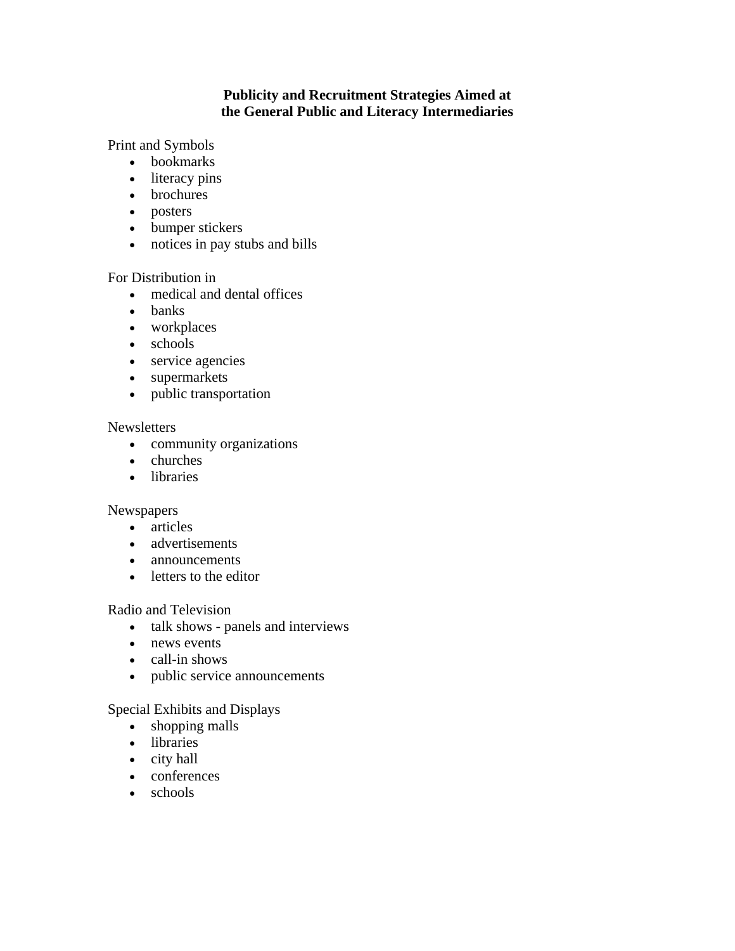### **Publicity and Recruitment Strategies Aimed at the General Public and Literacy Intermediaries**

Print and Symbols

- bookmarks
- literacy pins
- brochures
- posters
- bumper stickers
- notices in pay stubs and bills

#### For Distribution in

- medical and dental offices
- banks
- workplaces
- schools
- service agencies
- supermarkets
- public transportation

#### Newsletters

- community organizations
- churches
- libraries

#### Newspapers

- articles
- advertisements
- announcements
- letters to the editor

### Radio and Television

- talk shows panels and interviews
- news events
- call-in shows
- public service announcements

### Special Exhibits and Displays

- shopping malls
- libraries
- city hall
- conferences
- schools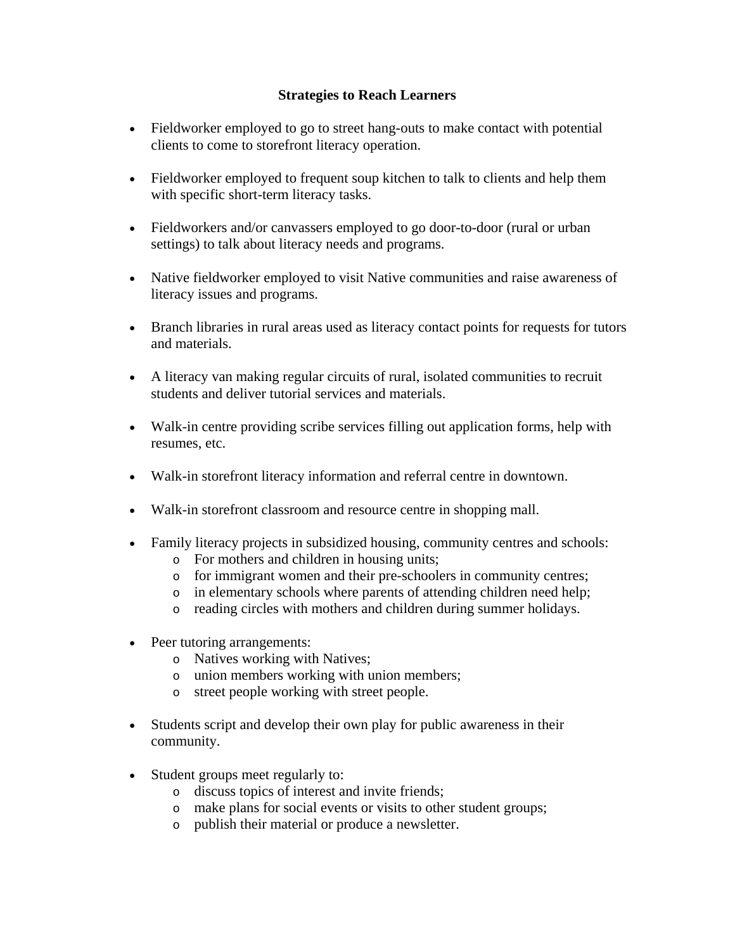#### **Strategies to Reach Learners**

- Fieldworker employed to go to street hang-outs to make contact with potential clients to come to storefront literacy operation.
- Fieldworker employed to frequent soup kitchen to talk to clients and help them with specific short-term literacy tasks.
- Fieldworkers and/or canvassers employed to go door-to-door (rural or urban settings) to talk about literacy needs and programs.
- Native fieldworker employed to visit Native communities and raise awareness of literacy issues and programs.
- Branch libraries in rural areas used as literacy contact points for requests for tutors and materials.
- A literacy van making regular circuits of rural, isolated communities to recruit students and deliver tutorial services and materials.
- Walk-in centre providing scribe services filling out application forms, help with resumes, etc.
- Walk-in storefront literacy information and referral centre in downtown.
- Walk-in storefront classroom and resource centre in shopping mall.
- Family literacy projects in subsidized housing, community centres and schools:
	- o For mothers and children in housing units;
	- o for immigrant women and their pre-schoolers in community centres;
	- o in elementary schools where parents of attending children need help;
	- o reading circles with mothers and children during summer holidays.
- Peer tutoring arrangements:
	- o Natives working with Natives;
	- o union members working with union members;
	- o street people working with street people.
- Students script and develop their own play for public awareness in their community.
- Student groups meet regularly to:
	- o discuss topics of interest and invite friends;
	- o make plans for social events or visits to other student groups;
	- o publish their material or produce a newsletter.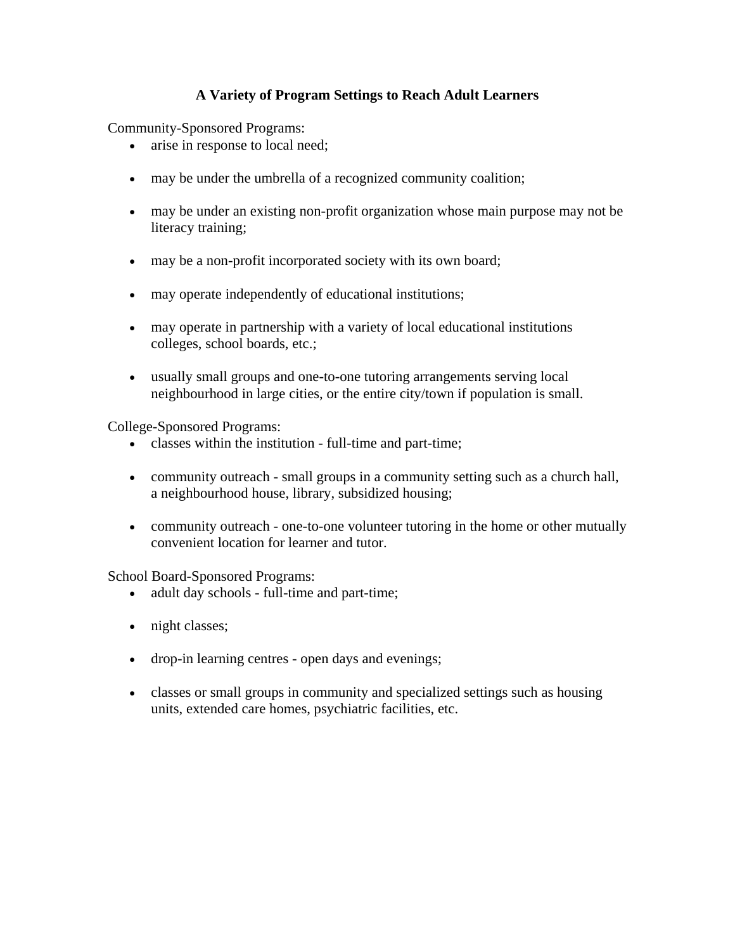### **A Variety of Program Settings to Reach Adult Learners**

Community-Sponsored Programs:

- arise in response to local need;
- may be under the umbrella of a recognized community coalition;
- may be under an existing non-profit organization whose main purpose may not be literacy training;
- may be a non-profit incorporated society with its own board;
- may operate independently of educational institutions;
- may operate in partnership with a variety of local educational institutions colleges, school boards, etc.;
- usually small groups and one-to-one tutoring arrangements serving local neighbourhood in large cities, or the entire city/town if population is small.

College-Sponsored Programs:

- classes within the institution full-time and part-time;
- community outreach small groups in a community setting such as a church hall, a neighbourhood house, library, subsidized housing;
- community outreach one-to-one volunteer tutoring in the home or other mutually convenient location for learner and tutor.

School Board-Sponsored Programs:

- adult day schools full-time and part-time;
- night classes;
- drop-in learning centres open days and evenings;
- classes or small groups in community and specialized settings such as housing units, extended care homes, psychiatric facilities, etc.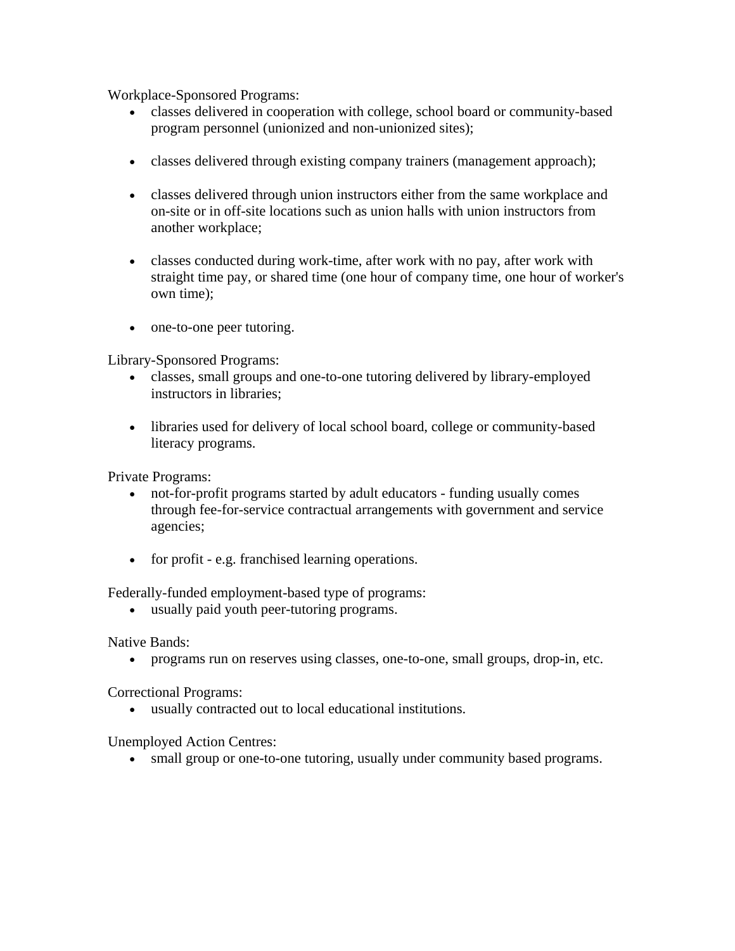Workplace-Sponsored Programs:

- classes delivered in cooperation with college, school board or community-based program personnel (unionized and non-unionized sites);
- classes delivered through existing company trainers (management approach);
- classes delivered through union instructors either from the same workplace and on-site or in off-site locations such as union halls with union instructors from another workplace;
- classes conducted during work-time, after work with no pay, after work with straight time pay, or shared time (one hour of company time, one hour of worker's own time);
- one-to-one peer tutoring.

Library-Sponsored Programs:

- classes, small groups and one-to-one tutoring delivered by library-employed instructors in libraries;
- libraries used for delivery of local school board, college or community-based literacy programs.

Private Programs:

- not-for-profit programs started by adult educators funding usually comes through fee-for-service contractual arrangements with government and service agencies;
- for profit e.g. franchised learning operations.

Federally-funded employment-based type of programs:

• usually paid youth peer-tutoring programs.

Native Bands:

• programs run on reserves using classes, one-to-one, small groups, drop-in, etc.

Correctional Programs:

• usually contracted out to local educational institutions.

Unemployed Action Centres:

• small group or one-to-one tutoring, usually under community based programs.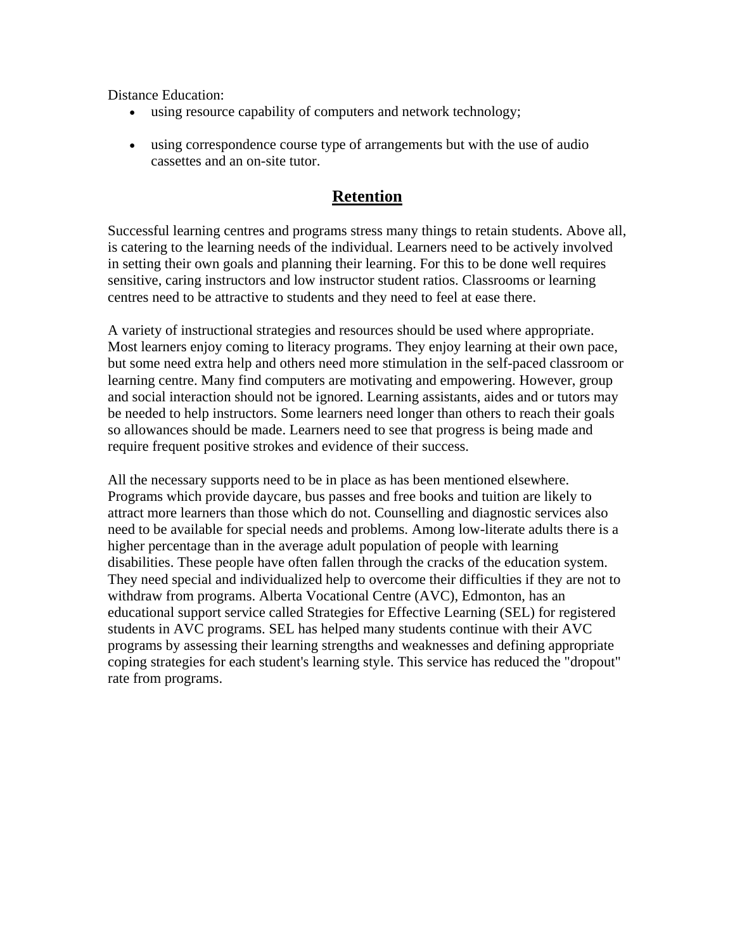<span id="page-21-0"></span>Distance Education:

- using resource capability of computers and network technology;
- using correspondence course type of arrangements but with the use of audio cassettes and an on-site tutor.

### **Retention**

Successful learning centres and programs stress many things to retain students. Above all, is catering to the learning needs of the individual. Learners need to be actively involved in setting their own goals and planning their learning. For this to be done well requires sensitive, caring instructors and low instructor student ratios. Classrooms or learning centres need to be attractive to students and they need to feel at ease there.

A variety of instructional strategies and resources should be used where appropriate. Most learners enjoy coming to literacy programs. They enjoy learning at their own pace, but some need extra help and others need more stimulation in the self-paced classroom or learning centre. Many find computers are motivating and empowering. However, group and social interaction should not be ignored. Learning assistants, aides and or tutors may be needed to help instructors. Some learners need longer than others to reach their goals so allowances should be made. Learners need to see that progress is being made and require frequent positive strokes and evidence of their success.

All the necessary supports need to be in place as has been mentioned elsewhere. Programs which provide daycare, bus passes and free books and tuition are likely to attract more learners than those which do not. Counselling and diagnostic services also need to be available for special needs and problems. Among low-literate adults there is a higher percentage than in the average adult population of people with learning disabilities. These people have often fallen through the cracks of the education system. They need special and individualized help to overcome their difficulties if they are not to withdraw from programs. Alberta Vocational Centre (AVC), Edmonton, has an educational support service called Strategies for Effective Learning (SEL) for registered students in AVC programs. SEL has helped many students continue with their AVC programs by assessing their learning strengths and weaknesses and defining appropriate coping strategies for each student's learning style. This service has reduced the "dropout" rate from programs.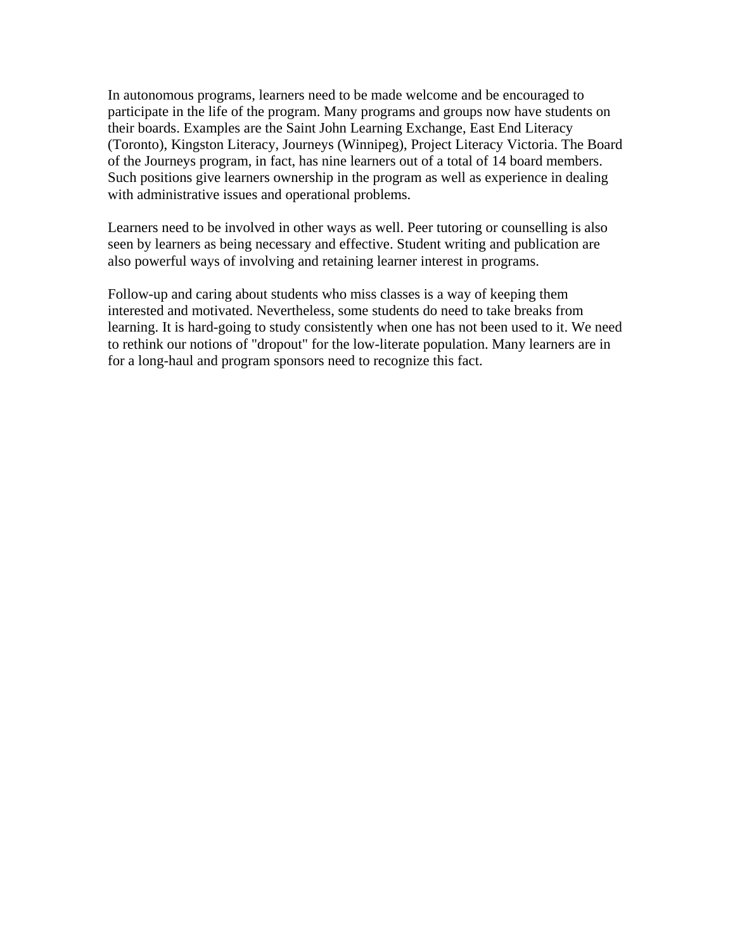In autonomous programs, learners need to be made welcome and be encouraged to participate in the life of the program. Many programs and groups now have students on their boards. Examples are the Saint John Learning Exchange, East End Literacy (Toronto), Kingston Literacy, Journeys (Winnipeg), Project Literacy Victoria. The Board of the Journeys program, in fact, has nine learners out of a total of 14 board members. Such positions give learners ownership in the program as well as experience in dealing with administrative issues and operational problems.

Learners need to be involved in other ways as well. Peer tutoring or counselling is also seen by learners as being necessary and effective. Student writing and publication are also powerful ways of involving and retaining learner interest in programs.

Follow-up and caring about students who miss classes is a way of keeping them interested and motivated. Nevertheless, some students do need to take breaks from learning. It is hard-going to study consistently when one has not been used to it. We need to rethink our notions of "dropout" for the low-literate population. Many learners are in for a long-haul and program sponsors need to recognize this fact.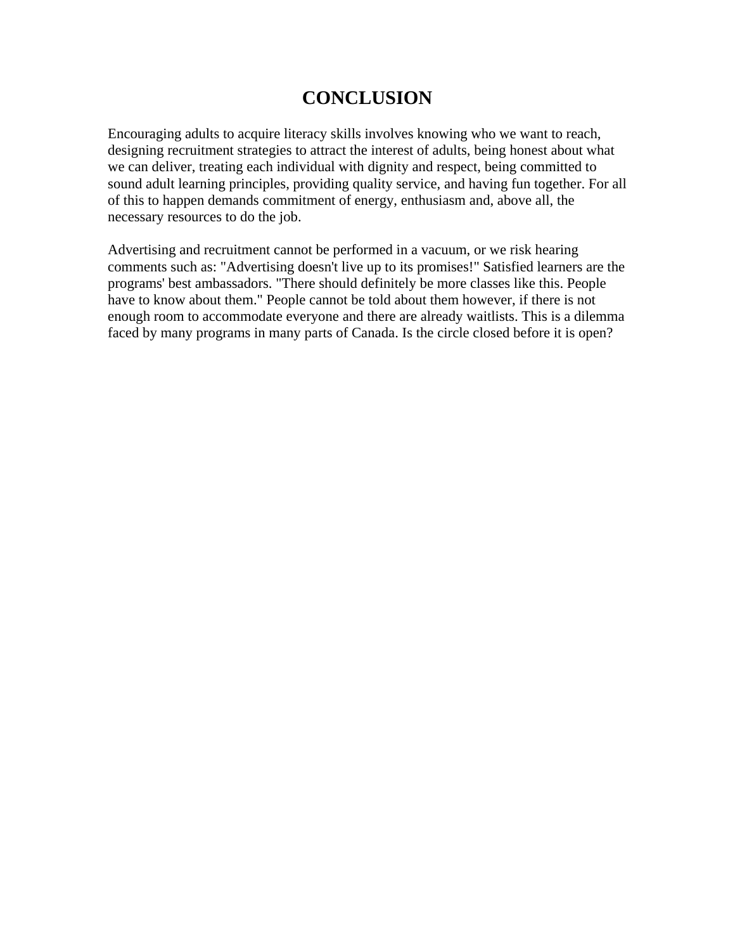# **CONCLUSION**

<span id="page-23-0"></span>Encouraging adults to acquire literacy skills involves knowing who we want to reach, designing recruitment strategies to attract the interest of adults, being honest about what we can deliver, treating each individual with dignity and respect, being committed to sound adult learning principles, providing quality service, and having fun together. For all of this to happen demands commitment of energy, enthusiasm and, above all, the necessary resources to do the job.

Advertising and recruitment cannot be performed in a vacuum, or we risk hearing comments such as: "Advertising doesn't live up to its promises!" Satisfied learners are the programs' best ambassadors. "There should definitely be more classes like this. People have to know about them." People cannot be told about them however, if there is not enough room to accommodate everyone and there are already waitlists. This is a dilemma faced by many programs in many parts of Canada. Is the circle closed before it is open?